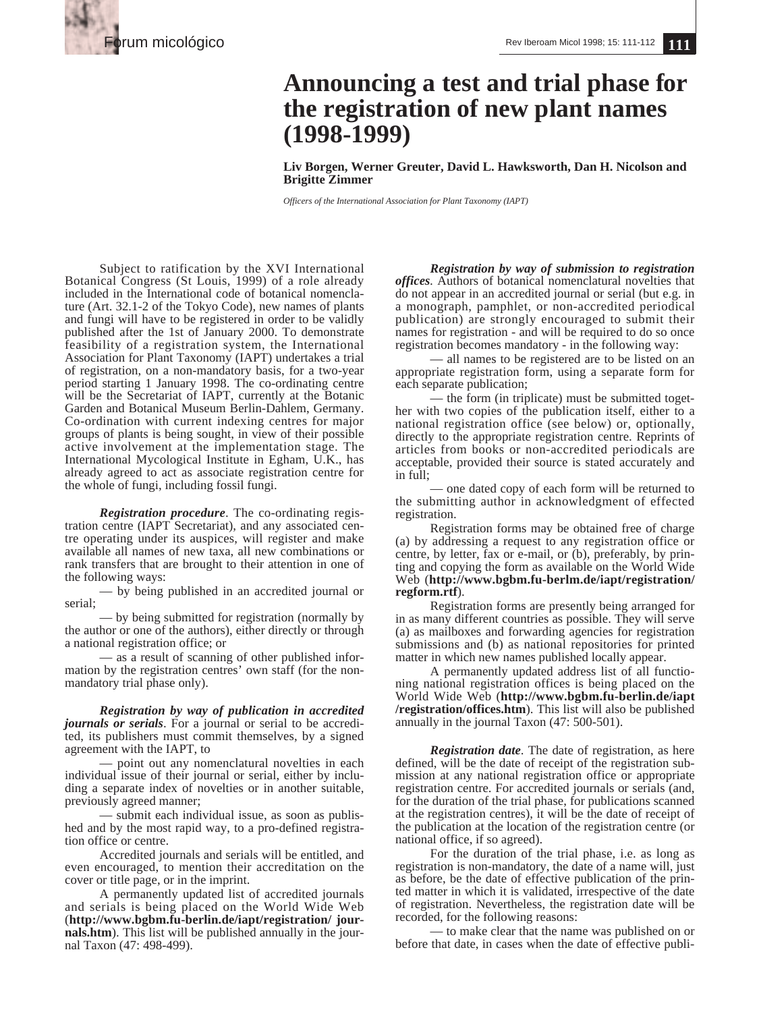

## **Announcing a test and trial phase for the registration of new plant names (1998-1999)**

**Liv Borgen, Werner Greuter, David L. Hawksworth, Dan H. Nicolson and Brigitte Zimmer**

*Officers of the International Association for Plant Taxonomy (IAPT)*

Subject to ratification by the XVI International Botanical Congress (St Louis, 1999) of a role already included in the International code of botanical nomenclature (Art. 32.1-2 of the Tokyo Code), new names of plants and fungi will have to be registered in order to be validly published after the 1st of January 2000. To demonstrate feasibility of a registration system, the International Association for Plant Taxonomy (IAPT) undertakes a trial of registration, on a non-mandatory basis, for a two-year period starting 1 January 1998. The co-ordinating centre will be the Secretariat of IAPT, currently at the Botanic Garden and Botanical Museum Berlin-Dahlem, Germany. Co-ordination with current indexing centres for major groups of plants is being sought, in view of their possible active involvement at the implementation stage. The International Mycological Institute in Egham, U.K., has already agreed to act as associate registration centre for the whole of fungi, including fossil fungi.

*Registration procedure*. The co-ordinating registration centre (IAPT Secretariat), and any associated centre operating under its auspices, will register and make available all names of new taxa, all new combinations or rank transfers that are brought to their attention in one of the following ways:

— by being published in an accredited journal or serial;

— by being submitted for registration (normally by the author or one of the authors), either directly or through a national registration office; or

— as a result of scanning of other published information by the registration centres' own staff (for the nonmandatory trial phase only).

*Registration by way of publication in accredited journals or serials*. For a journal or serial to be accredited, its publishers must commit themselves, by a signed agreement with the IAPT, to

— point out any nomenclatural novelties in each individual issue of their journal or serial, either by including a separate index of novelties or in another suitable, previously agreed manner;

— submit each individual issue, as soon as published and by the most rapid way, to a pro-defined registration office or centre.

Accredited journals and serials will be entitled, and even encouraged, to mention their accreditation on the cover or title page, or in the imprint.

A permanently updated list of accredited journals and serials is being placed on the World Wide Web (**http://www.bgbm.fu-berlin.de/iapt/registration/ journals.htm**). This list will be published annually in the journal Taxon (47: 498-499).

*Registration by way of submission to registration offices.* Authors of botanical nomenclatural novelties that do not appear in an accredited journal or serial (but e.g. in a monograph, pamphlet, or non-accredited periodical publication) are strongly encouraged to submit their names for registration - and will be required to do so once registration becomes mandatory - in the following way:

— all names to be registered are to be listed on an appropriate registration form, using a separate form for each separate publication;

— the form (in triplicate) must be submitted together with two copies of the publication itself, either to a national registration office (see below) or, optionally, directly to the appropriate registration centre. Reprints of articles from books or non-accredited periodicals are acceptable, provided their source is stated accurately and in full;

— one dated copy of each form will be returned to the submitting author in acknowledgment of effected registration.

Registration forms may be obtained free of charge (a) by addressing a request to any registration office or centre, by letter, fax or e-mail, or (b), preferably, by printing and copying the form as available on the World Wide Web (**http://www.bgbm.fu-berlm.de/iapt/registration/ regform.rtf**).

Registration forms are presently being arranged for in as many different countries as possible. They will serve (a) as mailboxes and forwarding agencies for registration submissions and (b) as national repositories for printed matter in which new names published locally appear.

A permanently updated address list of all functioning national registration offices is being placed on the World Wide Web (**http://www.bgbm.fu-berlin.de/iapt /registration/offices.htm**). This list will also be published annually in the journal Taxon (47: 500-501).

*Registration date*. The date of registration, as here defined, will be the date of receipt of the registration submission at any national registration office or appropriate registration centre. For accredited journals or serials (and, for the duration of the trial phase, for publications scanned at the registration centres), it will be the date of receipt of the publication at the location of the registration centre (or national office, if so agreed).

For the duration of the trial phase, i.e. as long as registration is non-mandatory, the date of a name will, just as before, be the date of effective publication of the printed matter in which it is validated, irrespective of the date of registration. Nevertheless, the registration date will be recorded, for the following reasons:

— to make clear that the name was published on or before that date, in cases when the date of effective publi